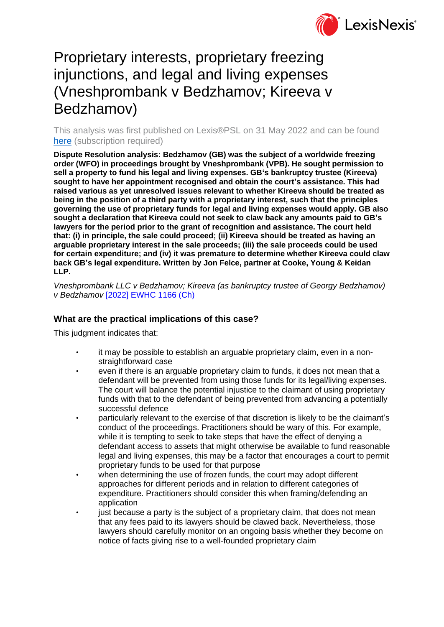

# Proprietary interests, proprietary freezing injunctions, and legal and living expenses (Vneshprombank v Bedzhamov; Kireeva v Bedzhamov)

This analysis was first published on Lexis®PSL on 31 May 2022 and can be found [here](https://www.lexisnexis.com/uk/lexispsl/disputeresolution/docfromresult/D-WA-A-AUY-AUY-MsSAYWC-UUA-UZEYAAUUW-U-U-U-U-U-U-AZCDWEADDW-AZCVYDWCDW-VZEUEUUEV-U-U/1/412012?lni=65K5-JNV3-CGX8-02SY-00000-00) (subscription required)

**Dispute Resolution analysis: Bedzhamov (GB) was the subject of a worldwide freezing order (WFO) in proceedings brought by Vneshprombank (VPB). He sought permission to sell a property to fund his legal and living expenses. GB's bankruptcy trustee (Kireeva) sought to have her appointment recognised and obtain the court's assistance. This had raised various as yet unresolved issues relevant to whether Kireeva should be treated as being in the position of a third party with a proprietary interest, such that the principles governing the use of proprietary funds for legal and living expenses would apply. GB also sought a declaration that Kireeva could not seek to claw back any amounts paid to GB's lawyers for the period prior to the grant of recognition and assistance. The court held that: (i) in principle, the sale could proceed; (ii) Kireeva should be treated as having an arguable proprietary interest in the sale proceeds; (iii) the sale proceeds could be used for certain expenditure; and (iv) it was premature to determine whether Kireeva could claw back GB's legal expenditure. Written by Jon Felce, partner at Cooke, Young & Keidan LLP.**

*Vneshprombank LLC v Bedzhamov; Kireeva (as bankruptcy trustee of Georgy Bedzhamov) v Bedzhamov* [\[2022\] EWHC 1166 \(Ch\)](https://www.lexisnexis.com/uk/lexispsl/disputeresolution/citationlinkHandler.faces?bct=A&service=citation&risb=&EWHCCH&$sel1!%252022%25$year!%252022%25$page!%251166%25)

## **What are the practical implications of this case?**

This judgment indicates that:

- it may be possible to establish an arguable proprietary claim, even in a nonstraightforward case
- even if there is an arguable proprietary claim to funds, it does not mean that a defendant will be prevented from using those funds for its legal/living expenses. The court will balance the potential injustice to the claimant of using proprietary funds with that to the defendant of being prevented from advancing a potentially successful defence
- particularly relevant to the exercise of that discretion is likely to be the claimant's conduct of the proceedings. Practitioners should be wary of this. For example, while it is tempting to seek to take steps that have the effect of denying a defendant access to assets that might otherwise be available to fund reasonable legal and living expenses, this may be a factor that encourages a court to permit proprietary funds to be used for that purpose
- when determining the use of frozen funds, the court may adopt different approaches for different periods and in relation to different categories of expenditure. Practitioners should consider this when framing/defending an application
- just because a party is the subject of a proprietary claim, that does not mean that any fees paid to its lawyers should be clawed back. Nevertheless, those lawyers should carefully monitor on an ongoing basis whether they become on notice of facts giving rise to a well-founded proprietary claim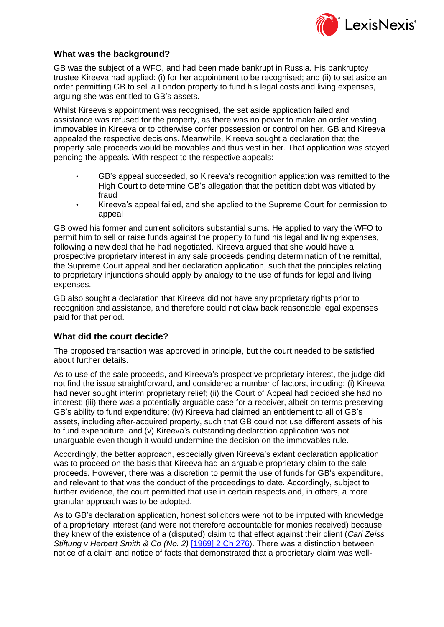

## **What was the background?**

GB was the subject of a WFO, and had been made bankrupt in Russia. His bankruptcy trustee Kireeva had applied: (i) for her appointment to be recognised; and (ii) to set aside an order permitting GB to sell a London property to fund his legal costs and living expenses, arguing she was entitled to GB's assets.

Whilst Kireeva's appointment was recognised, the set aside application failed and assistance was refused for the property, as there was no power to make an order vesting immovables in Kireeva or to otherwise confer possession or control on her. GB and Kireeva appealed the respective decisions. Meanwhile, Kireeva sought a declaration that the property sale proceeds would be movables and thus vest in her. That application was stayed pending the appeals. With respect to the respective appeals:

- GB's appeal succeeded, so Kireeva's recognition application was remitted to the High Court to determine GB's allegation that the petition debt was vitiated by fraud
- Kireeva's appeal failed, and she applied to the Supreme Court for permission to appeal

GB owed his former and current solicitors substantial sums. He applied to vary the WFO to permit him to sell or raise funds against the property to fund his legal and living expenses, following a new deal that he had negotiated. Kireeva argued that she would have a prospective proprietary interest in any sale proceeds pending determination of the remittal, the Supreme Court appeal and her declaration application, such that the principles relating to proprietary injunctions should apply by analogy to the use of funds for legal and living expenses.

GB also sought a declaration that Kireeva did not have any proprietary rights prior to recognition and assistance, and therefore could not claw back reasonable legal expenses paid for that period.

#### **What did the court decide?**

The proposed transaction was approved in principle, but the court needed to be satisfied about further details.

As to use of the sale proceeds, and Kireeva's prospective proprietary interest, the judge did not find the issue straightforward, and considered a number of factors, including: (i) Kireeva had never sought interim proprietary relief; (ii) the Court of Appeal had decided she had no interest; (iii) there was a potentially arguable case for a receiver, albeit on terms preserving GB's ability to fund expenditure; (iv) Kireeva had claimed an entitlement to all of GB's assets, including after-acquired property, such that GB could not use different assets of his to fund expenditure; and (v) Kireeva's outstanding declaration application was not unarguable even though it would undermine the decision on the immovables rule.

Accordingly, the better approach, especially given Kireeva's extant declaration application, was to proceed on the basis that Kireeva had an arguable proprietary claim to the sale proceeds. However, there was a discretion to permit the use of funds for GB's expenditure, and relevant to that was the conduct of the proceedings to date. Accordingly, subject to further evidence, the court permitted that use in certain respects and, in others, a more granular approach was to be adopted.

As to GB's declaration application, honest solicitors were not to be imputed with knowledge of a proprietary interest (and were not therefore accountable for monies received) because they knew of the existence of a (disputed) claim to that effect against their client (*Carl Zeiss Stiftung v Herbert Smith & Co (No. 2)* [\[1969\] 2 Ch 276\)](https://www.lexisnexis.com/uk/lexispsl/disputeresolution/citationlinkHandler.faces?bct=A&service=citation&risb=&CH&$sel1!%251969%25$year!%251969%25$sel2!%252%25$vol!%252%25$page!%25276%25). There was a distinction between notice of a claim and notice of facts that demonstrated that a proprietary claim was well-